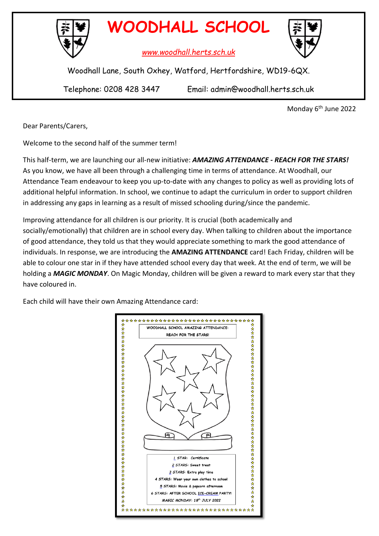

**WOODHALL SCHOOL**

*www.woodhall.herts.sch.uk*



Woodhall Lane, South Oxhey, Watford, Hertfordshire, WD19-6QX.

Telephone: 0208 428 3447 Email: admin@woodhall.herts.sch.uk

Monday 6th June 2022

Dear Parents/Carers,

Welcome to the second half of the summer term!

This half-term, we are launching our all-new initiative: *AMAZING ATTENDANCE - REACH FOR THE STARS!* As you know, we have all been through a challenging time in terms of attendance. At Woodhall, our Attendance Team endeavour to keep you up-to-date with any changes to policy as well as providing lots of additional helpful information. In school, we continue to adapt the curriculum in order to support children in addressing any gaps in learning as a result of missed schooling during/since the pandemic.

Improving attendance for all children is our priority. It is crucial (both academically and socially/emotionally) that children are in school every day. When talking to children about the importance of good attendance, they told us that they would appreciate something to mark the good attendance of individuals. In response, we are introducing the **AMAZING ATTENDANCE** card! Each Friday, children will be able to colour one star in if they have attended school every day that week. At the end of term, we will be holding a *MAGIC MONDAY*. On Magic Monday, children will be given a reward to mark every star that they have coloured in.